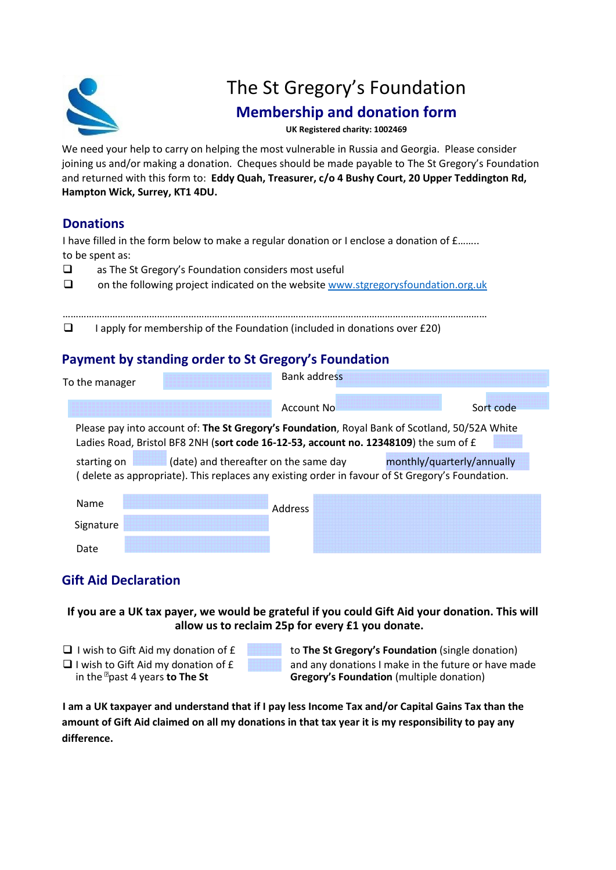

# The St Gregory's Foundation

## **Membership and donation form**

**UK Registered charity: 1002469**

We need your help to carry on helping the most vulnerable in Russia and Georgia. Please consider joining us and/or making a donation. Cheques should be made payable to The St Gregory's Foundation and returned with this form to: **Eddy Quah, Treasurer, c/o 4 Bushy Court, 20 Upper Teddington Rd, Hampton Wick, Surrey, KT1 4DU.**

## **Donations**

I have filled in the form below to make a regular donation or I enclose a donation of  $f$ <sub>…</sub>….. to be spent as:

- $\Box$  as The St Gregory's Foundation considers most useful
- on the following project indicated on the website [www.stgregorysfoundation.org.uk](http://www.stgregorysfoundation.org.uk/)

**I** apply for membership of the Foundation (included in donations over £20)

### **Payment by standing order to St Gregory's Foundation**

| To the manager                                                                                                                                                                        | <b>Bank address</b> |           |  |  |  |  |
|---------------------------------------------------------------------------------------------------------------------------------------------------------------------------------------|---------------------|-----------|--|--|--|--|
|                                                                                                                                                                                       | <b>Account No</b>   | Sort code |  |  |  |  |
| Please pay into account of: The St Gregory's Foundation, Royal Bank of Scotland, 50/52A White<br>Ladies Road, Bristol BF8 2NH (sort code 16-12-53, account no. 12348109) the sum of £ |                     |           |  |  |  |  |
| (date) and thereafter on the same day<br>monthly/quarterly/annually<br>starting on<br>(delete as appropriate). This replaces any existing order in favour of St Gregory's Foundation. |                     |           |  |  |  |  |
| Name                                                                                                                                                                                  | Address             |           |  |  |  |  |
| Signature                                                                                                                                                                             |                     |           |  |  |  |  |
| Date                                                                                                                                                                                  |                     |           |  |  |  |  |

## **Gift Aid Declaration**

**If you are a UK tax payer, we would be grateful if you could Gift Aid your donation. This will allow us to reclaim 25p for every £1 you donate.**

- 
- I wish to Gift Aid my donation of £ to **The St Gregory's Foundation** (single donation)  $\Box$  I wish to Gift Aid my donation of  $\bm{E}$  and any donations I make in the future or have made in the  $\Box$  past 4 years to The St **Gregory's Foundation** (multiple donation) **Gregory's Foundation** (multiple donation)

**I am a UK taxpayer and understand that if I pay less Income Tax and/or Capital Gains Tax than the amount of Gift Aid claimed on all my donations in that tax year it is my responsibility to pay any difference.**